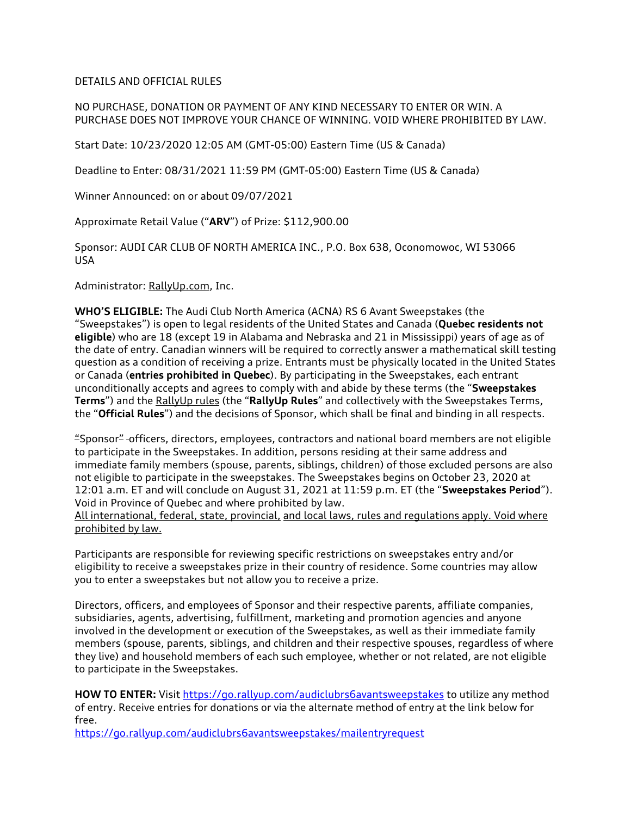DETAILS AND OFFICIAL RULES

NO PURCHASE, DONATION OR PAYMENT OF ANY KIND NECESSARY TO ENTER OR WIN. A PURCHASE DOES NOT IMPROVE YOUR CHANCE OF WINNING. VOID WHERE PROHIBITED BY LAW.

Start Date: 10/23/2020 12:05 AM (GMT-05:00) Eastern Time (US & Canada)

Deadline to Enter: 08/31/2021 11:59 PM (GMT-05:00) Eastern Time (US & Canada)

Winner Announced: on or about 09/07/2021

Approximate Retail Value ("**ARV**") of Prize: \$112,900.00

Sponsor: AUDI CAR CLUB OF NORTH AMERICA INC., P.O. Box 638, Oconomowoc, WI 53066 USA

Administrator: RallyUp.com, Inc.

**WHO'S ELIGIBLE:** The Audi Club North America (ACNA) RS 6 Avant Sweepstakes (the "Sweepstakes") is open to legal residents of the United States and Canada (**Quebec residents not eligible**) who are 18 (except 19 in Alabama and Nebraska and 21 in Mississippi) years of age as of the date of entry. Canadian winners will be required to correctly answer a mathematical skill testing question as a condition of receiving a prize. Entrants must be physically located in the United States or Canada (**entries prohibited in Quebec**). By participating in the Sweepstakes, each entrant unconditionally accepts and agrees to comply with and abide by these terms (the "**Sweepstakes Terms**") and the RallyUp rules (the "**RallyUp Rules**" and collectively with the Sweepstakes Terms, the "**Official Rules**") and the decisions of Sponsor, which shall be final and binding in all respects.

"Sponsor" officers, directors, employees, contractors and national board members are not eligible to participate in the Sweepstakes. In addition, persons residing at their same address and immediate family members (spouse, parents, siblings, children) of those excluded persons are also not eligible to participate in the sweepstakes. The Sweepstakes begins on October 23, 2020 at 12:01 a.m. ET and will conclude on August 31, 2021 at 11:59 p.m. ET (the "**Sweepstakes Period**"). Void in Province of Quebec and where prohibited by law.

All international, federal, state, provincial, and local laws, rules and regulations apply. Void where prohibited by law.

Participants are responsible for reviewing specific restrictions on sweepstakes entry and/or eligibility to receive a sweepstakes prize in their country of residence. Some countries may allow you to enter a sweepstakes but not allow you to receive a prize.

Directors, officers, and employees of Sponsor and their respective parents, affiliate companies, subsidiaries, agents, advertising, fulfillment, marketing and promotion agencies and anyone involved in the development or execution of the Sweepstakes, as well as their immediate family members (spouse, parents, siblings, and children and their respective spouses, regardless of where they live) and household members of each such employee, whether or not related, are not eligible to participate in the Sweepstakes.

**HOW TO ENTER:** Visit https://go.rallyup.com/audiclubrs6avantsweepstakes to utilize any method of entry. Receive entries for donations or via the alternate method of entry at the link below for free.

https://go.rallyup.com/audiclubrs6avantsweepstakes/mailentryrequest